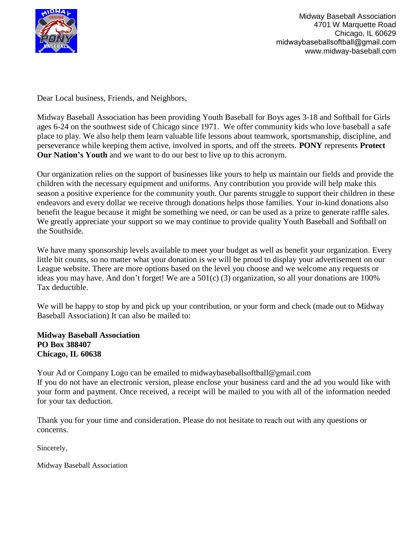

Midway Baseball Association 4701 W Marquette Road Chicago, IL 60629 midwaybaseballsoftball@gmail.com [www.midway-baseball.com](http://www.midway-baseball.com/) 

Dear Local business, Friends, and Neighbors,

Midway Baseball Association has been providing Youth Baseball for Boys ages 3-18 and Softball for Girls ages 6-24 on the southwest side of Chicago since 1971. We offer community kids who love baseball a safe place to play. We also help them learn valuable life lessons about teamwork, sportsmanship, discipline, and perseverance while keeping them active, involved in sports, and off the streets. **PONY** represents **Protect Our Nation's Youth** and we want to do our best to live up to this acronym.

Our organization relies on the support of businesses like yours to help us maintain our fields and provide the children with the necessary equipment and uniforms. Any contribution you provide will help make this season a positive experience for the community youth. Our parents struggle to support their children in these endeavors and every dollar we receive through donations helps those families. Your in-kind donations also benefit the league because it might be something we need, or can be used as a prize to generate raffle sales. We greatly appreciate your support so we may continue to provide quality Youth Baseball and Softball on the Southside.

We have many sponsorship levels available to meet your budget as well as benefit your organization. Every little bit counts, so no matter what your donation is we will be proud to display your advertisement on our League website. There are more options based on the level you choose and we welcome any requests or ideas you may have. And don't forget! We are a 501(c) (3) organization, so all your donations are 100% Tax deductible.

We will be happy to stop by and pick up your contribution, or your form and check (made out to Midway Baseball Association) It can also be mailed to:

**Midway Baseball Association PO Box 388407 Chicago, IL 60638**

Your Ad or Company Logo can be email[ed to midwaybaseball](mailto:midway_baseball@yahoo.com)softball@gmail.com If you do not have an electronic version, please enclose your business card and the ad you would like with your form and payment. Once received, a receipt will be mailed to you with all of the information needed for your tax deduction.

Thank yo[u for your time and consideration. Plea](mailto:midway_baseball@yahoo.com)se do not hesitate to reach out with any questions or concerns.

Sincerely,

Midway Baseball Association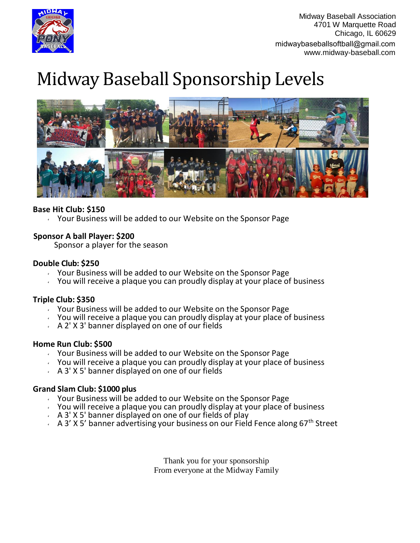

# Midway Baseball Sponsorship Levels



## **Base Hit Club: \$150**

 $\sqrt{2}$  Your Business will be added to our Website on the Sponsor Page

## **Sponsor A ball Player: \$200**

Sponsor a player for the season

### **Double Club: \$250**

- $\sqrt{y}$  Your Business will be added to our Website on the Sponsor Page
- $\sim$  You will receive a plaque you can proudly display at your place of business

### **Triple Club: \$350**

- Your Business will be added to our Website on the Sponsor Page
- You will receive a plaque you can proudly display at your place of business
- $A 2' X 3'$  banner displayed on one of our fields

### **Home Run Club: \$500**

- $\vee$  Your Business will be added to our Website on the Sponsor Page
- $\sim$  You will receive a plaque you can proudly display at your place of business
- $\overline{A}$  A 3' X 5' banner displayed on one of our fields

### **Grand Slam Club: \$1000 plus**

- Your Business will be added to our Website on the Sponsor Page
- $\sim$  You will receive a plaque you can proudly display at your place of business
- $\sim$  A 3' X 5' banner displayed on one of our fields of play
- A 3' X 5' banner advertising your business on our Field Fence along 67<sup>th</sup> Street

Thank you for your sponsorship From everyone at the Midway Family